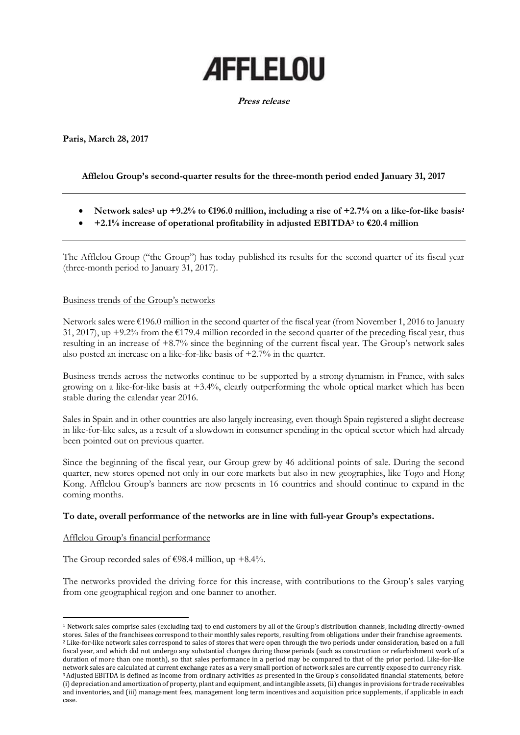# **AFFLELOU**

### **Press release**

**Paris, March 28, 2017**

# **Afflelou Group's second-quarter results for the three-month period ended January 31, 2017**

- **Network sales<sup>1</sup> up +9.2% to €196.0 million, including a rise of +2.7% on a like-for-like basis<sup>2</sup>**
- **+2.1% increase of operational profitability in adjusted EBITDA<sup>3</sup> to €20.4 million**

The Afflelou Group ("the Group") has today published its results for the second quarter of its fiscal year (three-month period to January 31, 2017).

## Business trends of the Group's networks

Network sales were €196.0 million in the second quarter of the fiscal year (from November 1, 2016 to January 31, 2017), up +9.2% from the  $\epsilon$ 179.4 million recorded in the second quarter of the preceding fiscal year, thus resulting in an increase of +8.7% since the beginning of the current fiscal year. The Group's network sales also posted an increase on a like-for-like basis of +2.7% in the quarter.

Business trends across the networks continue to be supported by a strong dynamism in France, with sales growing on a like-for-like basis at +3.4%, clearly outperforming the whole optical market which has been stable during the calendar year 2016.

Sales in Spain and in other countries are also largely increasing, even though Spain registered a slight decrease in like-for-like sales, as a result of a slowdown in consumer spending in the optical sector which had already been pointed out on previous quarter.

Since the beginning of the fiscal year, our Group grew by 46 additional points of sale. During the second quarter, new stores opened not only in our core markets but also in new geographies, like Togo and Hong Kong. Afflelou Group's banners are now presents in 16 countries and should continue to expand in the coming months.

## **To date, overall performance of the networks are in line with full-year Group's expectations.**

## Afflelou Group's financial performance

**.** 

The Group recorded sales of  $\epsilon$ 98.4 million, up +8.4%.

The networks provided the driving force for this increase, with contributions to the Group's sales varying from one geographical region and one banner to another.

<sup>1</sup> Network sales comprise sales (excluding tax) to end customers by all of the Group's distribution channels, including directly-owned stores. Sales of the franchisees correspond to their monthly sales reports, resulting from obligations under their franchise agreements. <sup>2</sup> Like-for-like network sales correspond to sales of stores that were open through the two periods under consideration, based on a full fiscal year, and which did not undergo any substantial changes during those periods (such as construction or refurbishment work of a duration of more than one month), so that sales performance in a period may be compared to that of the prior period. Like-for-like network sales are calculated at current exchange rates as a very small portion of network sales are currently exposed to currency risk. <sup>3</sup> Adjusted EBITDA is defined as income from ordinary activities as presented in the Group's consolidated financial statements, before (i) depreciation and amortization of property, plant and equipment, and intangible assets, (ii) changes in provisions for trade receivables and inventories, and (iii) management fees, management long term incentives and acquisition price supplements, if applicable in each case.